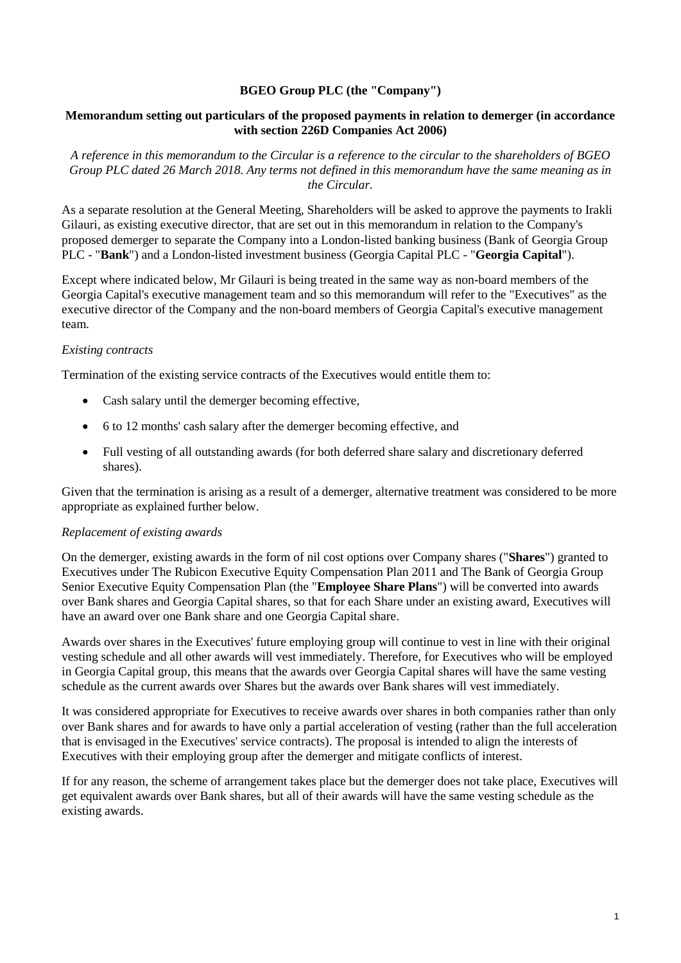# **BGEO Group PLC (the "Company")**

# **Memorandum setting out particulars of the proposed payments in relation to demerger (in accordance with section 226D Companies Act 2006)**

*A reference in this memorandum to the Circular is a reference to the circular to the shareholders of BGEO Group PLC dated 26 March 2018. Any terms not defined in this memorandum have the same meaning as in the Circular.*

As a separate resolution at the General Meeting, Shareholders will be asked to approve the payments to Irakli Gilauri, as existing executive director, that are set out in this memorandum in relation to the Company's proposed demerger to separate the Company into a London-listed banking business (Bank of Georgia Group PLC - "**Bank**") and a London-listed investment business (Georgia Capital PLC - "**Georgia Capital**").

Except where indicated below, Mr Gilauri is being treated in the same way as non-board members of the Georgia Capital's executive management team and so this memorandum will refer to the "Executives" as the executive director of the Company and the non-board members of Georgia Capital's executive management team.

# *Existing contracts*

Termination of the existing service contracts of the Executives would entitle them to:

- Cash salary until the demerger becoming effective,
- 6 to 12 months' cash salary after the demerger becoming effective, and
- Full vesting of all outstanding awards (for both deferred share salary and discretionary deferred shares).

Given that the termination is arising as a result of a demerger, alternative treatment was considered to be more appropriate as explained further below.

### *Replacement of existing awards*

On the demerger, existing awards in the form of nil cost options over Company shares ("**Shares**") granted to Executives under The Rubicon Executive Equity Compensation Plan 2011 and The Bank of Georgia Group Senior Executive Equity Compensation Plan (the "**Employee Share Plans**") will be converted into awards over Bank shares and Georgia Capital shares, so that for each Share under an existing award, Executives will have an award over one Bank share and one Georgia Capital share.

Awards over shares in the Executives' future employing group will continue to vest in line with their original vesting schedule and all other awards will vest immediately. Therefore, for Executives who will be employed in Georgia Capital group, this means that the awards over Georgia Capital shares will have the same vesting schedule as the current awards over Shares but the awards over Bank shares will vest immediately.

It was considered appropriate for Executives to receive awards over shares in both companies rather than only over Bank shares and for awards to have only a partial acceleration of vesting (rather than the full acceleration that is envisaged in the Executives' service contracts). The proposal is intended to align the interests of Executives with their employing group after the demerger and mitigate conflicts of interest.

If for any reason, the scheme of arrangement takes place but the demerger does not take place, Executives will get equivalent awards over Bank shares, but all of their awards will have the same vesting schedule as the existing awards.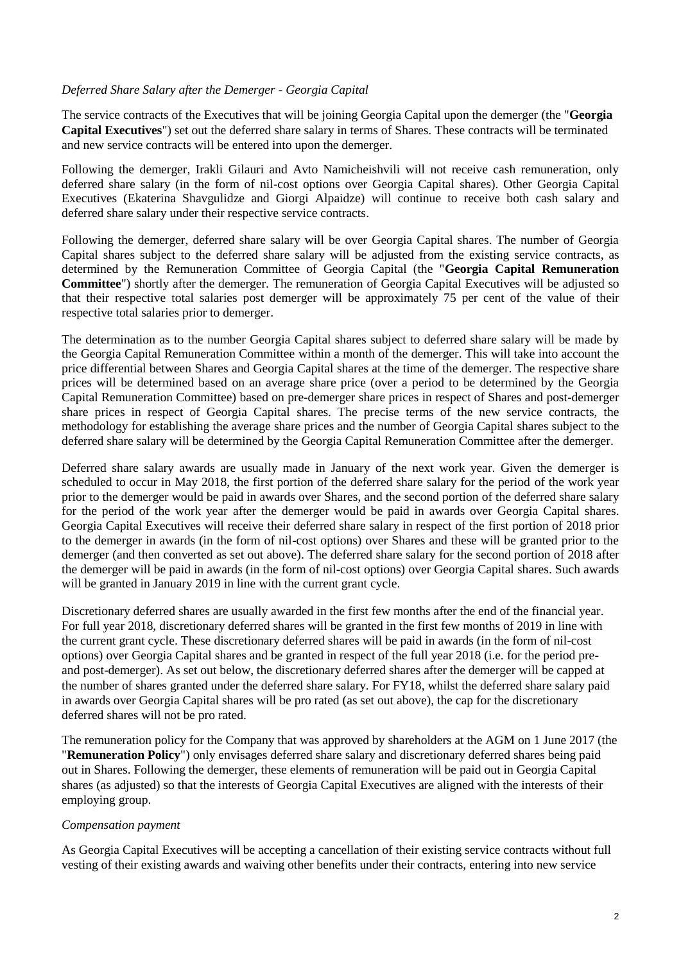### *Deferred Share Salary after the Demerger - Georgia Capital*

The service contracts of the Executives that will be joining Georgia Capital upon the demerger (the "**Georgia Capital Executives**") set out the deferred share salary in terms of Shares. These contracts will be terminated and new service contracts will be entered into upon the demerger.

Following the demerger, Irakli Gilauri and Avto Namicheishvili will not receive cash remuneration, only deferred share salary (in the form of nil-cost options over Georgia Capital shares). Other Georgia Capital Executives (Ekaterina Shavgulidze and Giorgi Alpaidze) will continue to receive both cash salary and deferred share salary under their respective service contracts.

Following the demerger, deferred share salary will be over Georgia Capital shares. The number of Georgia Capital shares subject to the deferred share salary will be adjusted from the existing service contracts, as determined by the Remuneration Committee of Georgia Capital (the "**Georgia Capital Remuneration Committee**") shortly after the demerger. The remuneration of Georgia Capital Executives will be adjusted so that their respective total salaries post demerger will be approximately 75 per cent of the value of their respective total salaries prior to demerger.

The determination as to the number Georgia Capital shares subject to deferred share salary will be made by the Georgia Capital Remuneration Committee within a month of the demerger. This will take into account the price differential between Shares and Georgia Capital shares at the time of the demerger. The respective share prices will be determined based on an average share price (over a period to be determined by the Georgia Capital Remuneration Committee) based on pre-demerger share prices in respect of Shares and post-demerger share prices in respect of Georgia Capital shares. The precise terms of the new service contracts, the methodology for establishing the average share prices and the number of Georgia Capital shares subject to the deferred share salary will be determined by the Georgia Capital Remuneration Committee after the demerger.

Deferred share salary awards are usually made in January of the next work year. Given the demerger is scheduled to occur in May 2018, the first portion of the deferred share salary for the period of the work year prior to the demerger would be paid in awards over Shares, and the second portion of the deferred share salary for the period of the work year after the demerger would be paid in awards over Georgia Capital shares. Georgia Capital Executives will receive their deferred share salary in respect of the first portion of 2018 prior to the demerger in awards (in the form of nil-cost options) over Shares and these will be granted prior to the demerger (and then converted as set out above). The deferred share salary for the second portion of 2018 after the demerger will be paid in awards (in the form of nil-cost options) over Georgia Capital shares. Such awards will be granted in January 2019 in line with the current grant cycle.

Discretionary deferred shares are usually awarded in the first few months after the end of the financial year. For full year 2018, discretionary deferred shares will be granted in the first few months of 2019 in line with the current grant cycle. These discretionary deferred shares will be paid in awards (in the form of nil-cost options) over Georgia Capital shares and be granted in respect of the full year 2018 (i.e. for the period preand post-demerger). As set out below, the discretionary deferred shares after the demerger will be capped at the number of shares granted under the deferred share salary. For FY18, whilst the deferred share salary paid in awards over Georgia Capital shares will be pro rated (as set out above), the cap for the discretionary deferred shares will not be pro rated.

The remuneration policy for the Company that was approved by shareholders at the AGM on 1 June 2017 (the "**Remuneration Policy**") only envisages deferred share salary and discretionary deferred shares being paid out in Shares. Following the demerger, these elements of remuneration will be paid out in Georgia Capital shares (as adjusted) so that the interests of Georgia Capital Executives are aligned with the interests of their employing group.

### *Compensation payment*

As Georgia Capital Executives will be accepting a cancellation of their existing service contracts without full vesting of their existing awards and waiving other benefits under their contracts, entering into new service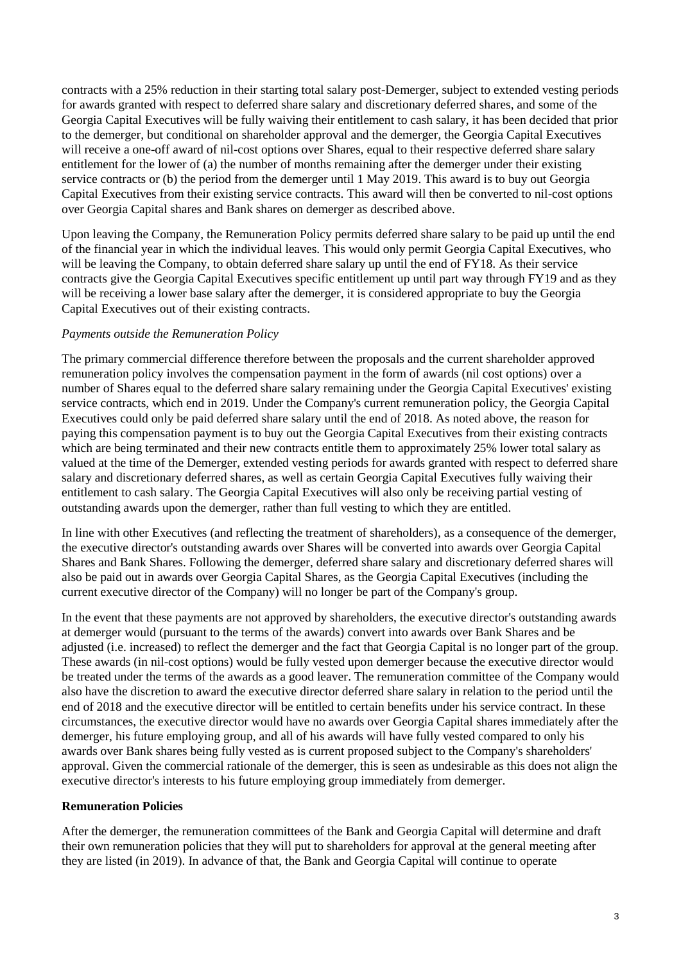contracts with a 25% reduction in their starting total salary post-Demerger, subject to extended vesting periods for awards granted with respect to deferred share salary and discretionary deferred shares, and some of the Georgia Capital Executives will be fully waiving their entitlement to cash salary, it has been decided that prior to the demerger, but conditional on shareholder approval and the demerger, the Georgia Capital Executives will receive a one-off award of nil-cost options over Shares, equal to their respective deferred share salary entitlement for the lower of (a) the number of months remaining after the demerger under their existing service contracts or (b) the period from the demerger until 1 May 2019. This award is to buy out Georgia Capital Executives from their existing service contracts. This award will then be converted to nil-cost options over Georgia Capital shares and Bank shares on demerger as described above.

Upon leaving the Company, the Remuneration Policy permits deferred share salary to be paid up until the end of the financial year in which the individual leaves. This would only permit Georgia Capital Executives, who will be leaving the Company, to obtain deferred share salary up until the end of FY18. As their service contracts give the Georgia Capital Executives specific entitlement up until part way through FY19 and as they will be receiving a lower base salary after the demerger, it is considered appropriate to buy the Georgia Capital Executives out of their existing contracts.

# *Payments outside the Remuneration Policy*

The primary commercial difference therefore between the proposals and the current shareholder approved remuneration policy involves the compensation payment in the form of awards (nil cost options) over a number of Shares equal to the deferred share salary remaining under the Georgia Capital Executives' existing service contracts, which end in 2019. Under the Company's current remuneration policy, the Georgia Capital Executives could only be paid deferred share salary until the end of 2018. As noted above, the reason for paying this compensation payment is to buy out the Georgia Capital Executives from their existing contracts which are being terminated and their new contracts entitle them to approximately 25% lower total salary as valued at the time of the Demerger, extended vesting periods for awards granted with respect to deferred share salary and discretionary deferred shares, as well as certain Georgia Capital Executives fully waiving their entitlement to cash salary. The Georgia Capital Executives will also only be receiving partial vesting of outstanding awards upon the demerger, rather than full vesting to which they are entitled.

In line with other Executives (and reflecting the treatment of shareholders), as a consequence of the demerger, the executive director's outstanding awards over Shares will be converted into awards over Georgia Capital Shares and Bank Shares. Following the demerger, deferred share salary and discretionary deferred shares will also be paid out in awards over Georgia Capital Shares, as the Georgia Capital Executives (including the current executive director of the Company) will no longer be part of the Company's group.

In the event that these payments are not approved by shareholders, the executive director's outstanding awards at demerger would (pursuant to the terms of the awards) convert into awards over Bank Shares and be adjusted (i.e. increased) to reflect the demerger and the fact that Georgia Capital is no longer part of the group. These awards (in nil-cost options) would be fully vested upon demerger because the executive director would be treated under the terms of the awards as a good leaver. The remuneration committee of the Company would also have the discretion to award the executive director deferred share salary in relation to the period until the end of 2018 and the executive director will be entitled to certain benefits under his service contract. In these circumstances, the executive director would have no awards over Georgia Capital shares immediately after the demerger, his future employing group, and all of his awards will have fully vested compared to only his awards over Bank shares being fully vested as is current proposed subject to the Company's shareholders' approval. Given the commercial rationale of the demerger, this is seen as undesirable as this does not align the executive director's interests to his future employing group immediately from demerger.

### **Remuneration Policies**

After the demerger, the remuneration committees of the Bank and Georgia Capital will determine and draft their own remuneration policies that they will put to shareholders for approval at the general meeting after they are listed (in 2019). In advance of that, the Bank and Georgia Capital will continue to operate